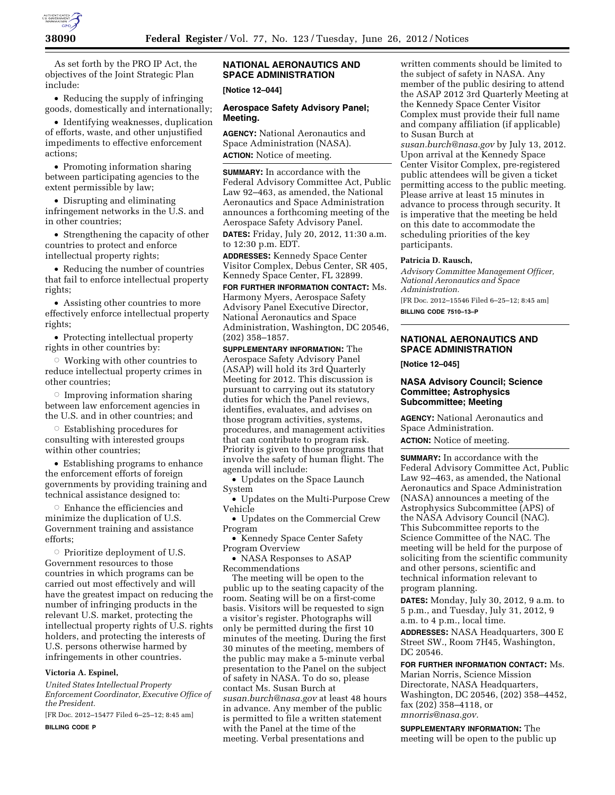

As set forth by the PRO IP Act, the objectives of the Joint Strategic Plan include:

• Reducing the supply of infringing goods, domestically and internationally;

• Identifying weaknesses, duplication of efforts, waste, and other unjustified impediments to effective enforcement actions;

• Promoting information sharing between participating agencies to the extent permissible by law;

• Disrupting and eliminating infringement networks in the U.S. and in other countries;

• Strengthening the capacity of other countries to protect and enforce intellectual property rights;

• Reducing the number of countries that fail to enforce intellectual property rights;

• Assisting other countries to more effectively enforce intellectual property rights;

• Protecting intellectual property rights in other countries by:

 $\circ$  Working with other countries to reduce intellectual property crimes in other countries;

 $\circ$  Improving information sharing between law enforcement agencies in the U.S. and in other countries; and

Æ Establishing procedures for consulting with interested groups within other countries;

• Establishing programs to enhance the enforcement efforts of foreign governments by providing training and technical assistance designed to:

 $\circ~$  Enhance the efficiencies and minimize the duplication of U.S. Government training and assistance efforts;

 $\circ$  Prioritize deployment of U.S. Government resources to those countries in which programs can be carried out most effectively and will have the greatest impact on reducing the number of infringing products in the relevant U.S. market, protecting the intellectual property rights of U.S. rights holders, and protecting the interests of U.S. persons otherwise harmed by infringements in other countries.

## **Victoria A. Espinel,**

*United States Intellectual Property Enforcement Coordinator, Executive Office of the President.* 

[FR Doc. 2012–15477 Filed 6–25–12; 8:45 am] **BILLING CODE P** 

# **NATIONAL AERONAUTICS AND SPACE ADMINISTRATION**

**[Notice 12–044]** 

#### **Aerospace Safety Advisory Panel; Meeting.**

**AGENCY:** National Aeronautics and Space Administration (NASA). **ACTION:** Notice of meeting.

**SUMMARY:** In accordance with the Federal Advisory Committee Act, Public Law 92–463, as amended, the National Aeronautics and Space Administration announces a forthcoming meeting of the Aerospace Safety Advisory Panel.

**DATES:** Friday, July 20, 2012, 11:30 a.m. to 12:30 p.m. EDT.

**ADDRESSES:** Kennedy Space Center Visitor Complex, Debus Center, SR 405, Kennedy Space Center, FL 32899.

**FOR FURTHER INFORMATION CONTACT:** Ms. Harmony Myers, Aerospace Safety Advisory Panel Executive Director, National Aeronautics and Space Administration, Washington, DC 20546, (202) 358–1857.

**SUPPLEMENTARY INFORMATION:** The Aerospace Safety Advisory Panel (ASAP) will hold its 3rd Quarterly Meeting for 2012. This discussion is pursuant to carrying out its statutory duties for which the Panel reviews, identifies, evaluates, and advises on those program activities, systems, procedures, and management activities that can contribute to program risk. Priority is given to those programs that involve the safety of human flight. The agenda will include:

• Updates on the Space Launch System

• Updates on the Multi-Purpose Crew Vehicle

• Updates on the Commercial Crew Program

• Kennedy Space Center Safety Program Overview

• NASA Responses to ASAP Recommendations

The meeting will be open to the public up to the seating capacity of the room. Seating will be on a first-come basis. Visitors will be requested to sign a visitor's register. Photographs will only be permitted during the first 10 minutes of the meeting. During the first 30 minutes of the meeting, members of the public may make a 5-minute verbal presentation to the Panel on the subject of safety in NASA. To do so, please contact Ms. Susan Burch at *[susan.burch@nasa.gov](mailto:susan.burch@nasa.gov)* at least 48 hours in advance. Any member of the public is permitted to file a written statement with the Panel at the time of the meeting. Verbal presentations and

written comments should be limited to the subject of safety in NASA. Any member of the public desiring to attend the ASAP 2012 3rd Quarterly Meeting at the Kennedy Space Center Visitor Complex must provide their full name and company affiliation (if applicable) to Susan Burch at

*[susan.burch@nasa.gov](mailto:susan.burch@nasa.gov)* by July 13, 2012. Upon arrival at the Kennedy Space Center Visitor Complex, pre-registered public attendees will be given a ticket permitting access to the public meeting. Please arrive at least 15 minutes in advance to process through security. It is imperative that the meeting be held on this date to accommodate the scheduling priorities of the key participants.

#### **Patricia D. Rausch,**

*Advisory Committee Management Officer, National Aeronautics and Space Administration.* 

[FR Doc. 2012–15546 Filed 6–25–12; 8:45 am] **BILLING CODE 7510–13–P** 

### **NATIONAL AERONAUTICS AND SPACE ADMINISTRATION**

**[Notice 12–045]** 

## **NASA Advisory Council; Science Committee; Astrophysics Subcommittee; Meeting**

**AGENCY:** National Aeronautics and Space Administration.

**ACTION:** Notice of meeting.

**SUMMARY:** In accordance with the Federal Advisory Committee Act, Public Law 92–463, as amended, the National Aeronautics and Space Administration (NASA) announces a meeting of the Astrophysics Subcommittee (APS) of the NASA Advisory Council (NAC). This Subcommittee reports to the Science Committee of the NAC. The meeting will be held for the purpose of soliciting from the scientific community and other persons, scientific and technical information relevant to program planning.

**DATES:** Monday, July 30, 2012, 9 a.m. to 5 p.m., and Tuesday, July 31, 2012, 9 a.m. to 4 p.m., local time.

**ADDRESSES:** NASA Headquarters, 300 E Street SW., Room 7H45, Washington, DC 20546.

**FOR FURTHER INFORMATION CONTACT:** Ms. Marian Norris, Science Mission Directorate, NASA Headquarters, Washington, DC 20546, (202) 358–4452, fax (202) 358–4118, or *[mnorris@nasa.gov.](mailto:mnorris@nasa.gov)* 

**SUPPLEMENTARY INFORMATION:** The meeting will be open to the public up